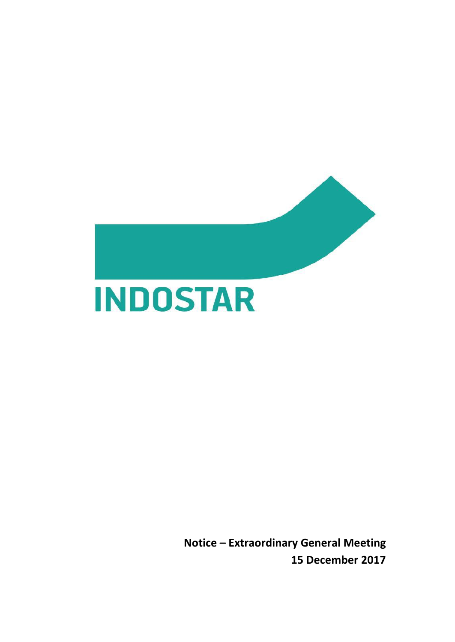

**INDOSTAR** 

**Notice – Extraordinary General Meeting 15 December 2017**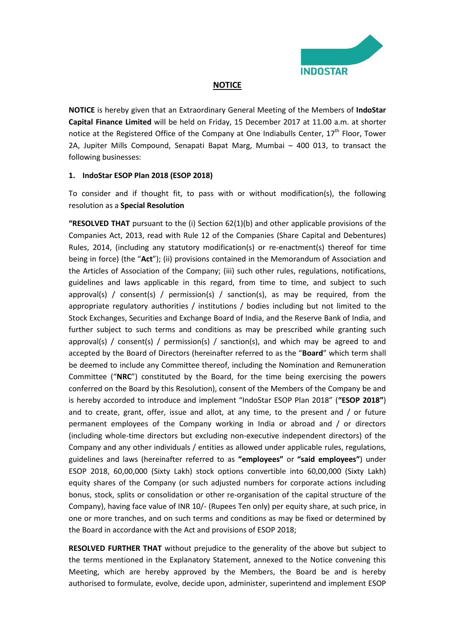

### **NOTICE**

**NOTICE** is hereby given that an Extraordinary General Meeting of the Members of **IndoStar Capital Finance Limited** will be held on Friday, 15 December 2017 at 11.00 a.m. at shorter notice at the Registered Office of the Company at One Indiabulls Center, 17<sup>th</sup> Floor, Tower 2A, Jupiter Mills Compound, Senapati Bapat Marg, Mumbai – 400 013, to transact the following businesses:

### **1. IndoStar ESOP Plan 2018 (ESOP 2018)**

To consider and if thought fit, to pass with or without modification(s), the following resolution as a **Special Resolution**

**"RESOLVED THAT** pursuant to the (i) Section 62(1)(b) and other applicable provisions of the Companies Act, 2013, read with Rule 12 of the Companies (Share Capital and Debentures) Rules, 2014, (including any statutory modification(s) or re-enactment(s) thereof for time being in force) (the "**Act**"); (ii) provisions contained in the Memorandum of Association and the Articles of Association of the Company; (iii) such other rules, regulations, notifications, guidelines and laws applicable in this regard, from time to time, and subject to such approval(s) / consent(s) / permission(s) / sanction(s), as may be required, from the appropriate regulatory authorities / institutions / bodies including but not limited to the Stock Exchanges, Securities and Exchange Board of India, and the Reserve Bank of India, and further subject to such terms and conditions as may be prescribed while granting such approval(s) / consent(s) / permission(s) / sanction(s), and which may be agreed to and accepted by the Board of Directors (hereinafter referred to as the "**Board**" which term shall be deemed to include any Committee thereof, including the Nomination and Remuneration Committee ("**NRC**") constituted by the Board, for the time being exercising the powers conferred on the Board by this Resolution), consent of the Members of the Company be and is hereby accorded to introduce and implement "IndoStar ESOP Plan 2018" (**"ESOP 2018"**) and to create, grant, offer, issue and allot, at any time, to the present and  $/$  or future permanent employees of the Company working in India or abroad and / or directors (including whole-time directors but excluding non-executive independent directors) of the Company and any other individuals / entities as allowed under applicable rules, regulations, guidelines and laws (hereinafter referred to as **"employees"** or **"said employees"**) under ESOP 2018, 60,00,000 (Sixty Lakh) stock options convertible into 60,00,000 (Sixty Lakh) equity shares of the Company (or such adjusted numbers for corporate actions including bonus, stock, splits or consolidation or other re-organisation of the capital structure of the Company), having face value of INR 10/- (Rupees Ten only) per equity share, at such price, in one or more tranches, and on such terms and conditions as may be fixed or determined by the Board in accordance with the Act and provisions of ESOP 2018;

**RESOLVED FURTHER THAT** without prejudice to the generality of the above but subject to the terms mentioned in the Explanatory Statement, annexed to the Notice convening this Meeting, which are hereby approved by the Members, the Board be and is hereby authorised to formulate, evolve, decide upon, administer, superintend and implement ESOP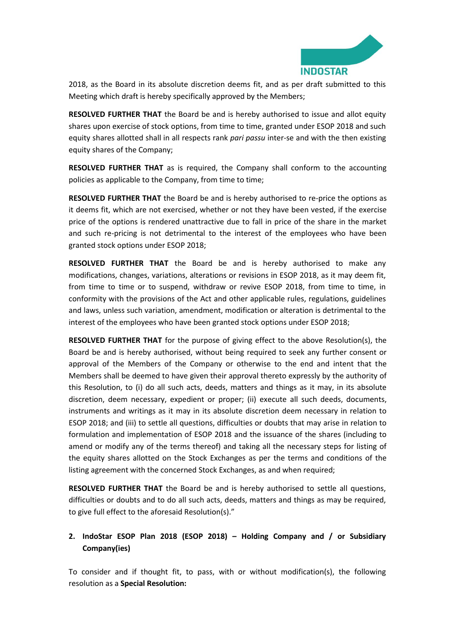

2018, as the Board in its absolute discretion deems fit, and as per draft submitted to this Meeting which draft is hereby specifically approved by the Members;

**RESOLVED FURTHER THAT** the Board be and is hereby authorised to issue and allot equity shares upon exercise of stock options, from time to time, granted under ESOP 2018 and such equity shares allotted shall in all respects rank *pari passu* inter-se and with the then existing equity shares of the Company;

**RESOLVED FURTHER THAT** as is required, the Company shall conform to the accounting policies as applicable to the Company, from time to time;

**RESOLVED FURTHER THAT** the Board be and is hereby authorised to re-price the options as it deems fit, which are not exercised, whether or not they have been vested, if the exercise price of the options is rendered unattractive due to fall in price of the share in the market and such re-pricing is not detrimental to the interest of the employees who have been granted stock options under ESOP 2018;

**RESOLVED FURTHER THAT** the Board be and is hereby authorised to make any modifications, changes, variations, alterations or revisions in ESOP 2018, as it may deem fit, from time to time or to suspend, withdraw or revive ESOP 2018, from time to time, in conformity with the provisions of the Act and other applicable rules, regulations, guidelines and laws, unless such variation, amendment, modification or alteration is detrimental to the interest of the employees who have been granted stock options under ESOP 2018;

**RESOLVED FURTHER THAT** for the purpose of giving effect to the above Resolution(s), the Board be and is hereby authorised, without being required to seek any further consent or approval of the Members of the Company or otherwise to the end and intent that the Members shall be deemed to have given their approval thereto expressly by the authority of this Resolution, to (i) do all such acts, deeds, matters and things as it may, in its absolute discretion, deem necessary, expedient or proper; (ii) execute all such deeds, documents, instruments and writings as it may in its absolute discretion deem necessary in relation to ESOP 2018; and (iii) to settle all questions, difficulties or doubts that may arise in relation to formulation and implementation of ESOP 2018 and the issuance of the shares (including to amend or modify any of the terms thereof) and taking all the necessary steps for listing of the equity shares allotted on the Stock Exchanges as per the terms and conditions of the listing agreement with the concerned Stock Exchanges, as and when required;

**RESOLVED FURTHER THAT** the Board be and is hereby authorised to settle all questions, difficulties or doubts and to do all such acts, deeds, matters and things as may be required, to give full effect to the aforesaid Resolution(s)."

## **2. IndoStar ESOP Plan 2018 (ESOP 2018) – Holding Company and / or Subsidiary Company(ies)**

To consider and if thought fit, to pass, with or without modification(s), the following resolution as a **Special Resolution:**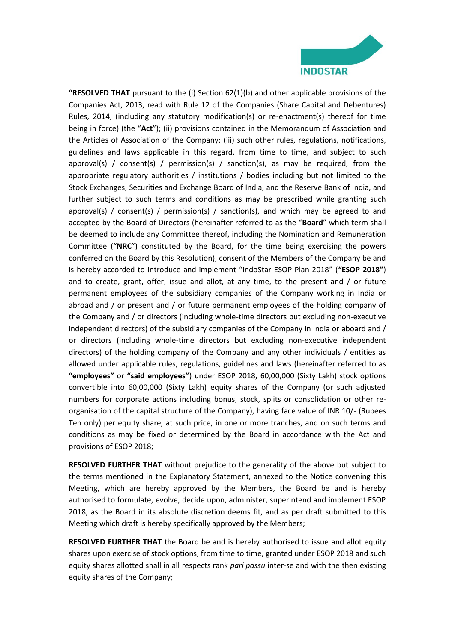

**"RESOLVED THAT** pursuant to the (i) Section 62(1)(b) and other applicable provisions of the Companies Act, 2013, read with Rule 12 of the Companies (Share Capital and Debentures) Rules, 2014, (including any statutory modification(s) or re-enactment(s) thereof for time being in force) (the "**Act**"); (ii) provisions contained in the Memorandum of Association and the Articles of Association of the Company; (iii) such other rules, regulations, notifications, guidelines and laws applicable in this regard, from time to time, and subject to such approval(s) / consent(s) / permission(s) / sanction(s), as may be required, from the appropriate regulatory authorities / institutions / bodies including but not limited to the Stock Exchanges, Securities and Exchange Board of India, and the Reserve Bank of India, and further subject to such terms and conditions as may be prescribed while granting such approval(s) / consent(s) / permission(s) / sanction(s), and which may be agreed to and accepted by the Board of Directors (hereinafter referred to as the "**Board**" which term shall be deemed to include any Committee thereof, including the Nomination and Remuneration Committee ("**NRC**") constituted by the Board, for the time being exercising the powers conferred on the Board by this Resolution), consent of the Members of the Company be and is hereby accorded to introduce and implement "IndoStar ESOP Plan 2018" (**"ESOP 2018"**) and to create, grant, offer, issue and allot, at any time, to the present and / or future permanent employees of the subsidiary companies of the Company working in India or abroad and / or present and / or future permanent employees of the holding company of the Company and / or directors (including whole-time directors but excluding non-executive independent directors) of the subsidiary companies of the Company in India or aboard and / or directors (including whole-time directors but excluding non-executive independent directors) of the holding company of the Company and any other individuals / entities as allowed under applicable rules, regulations, guidelines and laws (hereinafter referred to as **"employees"** or **"said employees"**) under ESOP 2018, 60,00,000 (Sixty Lakh) stock options convertible into 60,00,000 (Sixty Lakh) equity shares of the Company (or such adjusted numbers for corporate actions including bonus, stock, splits or consolidation or other reorganisation of the capital structure of the Company), having face value of INR 10/- (Rupees Ten only) per equity share, at such price, in one or more tranches, and on such terms and conditions as may be fixed or determined by the Board in accordance with the Act and provisions of ESOP 2018;

**RESOLVED FURTHER THAT** without prejudice to the generality of the above but subject to the terms mentioned in the Explanatory Statement, annexed to the Notice convening this Meeting, which are hereby approved by the Members, the Board be and is hereby authorised to formulate, evolve, decide upon, administer, superintend and implement ESOP 2018, as the Board in its absolute discretion deems fit, and as per draft submitted to this Meeting which draft is hereby specifically approved by the Members;

**RESOLVED FURTHER THAT** the Board be and is hereby authorised to issue and allot equity shares upon exercise of stock options, from time to time, granted under ESOP 2018 and such equity shares allotted shall in all respects rank *pari passu* inter-se and with the then existing equity shares of the Company;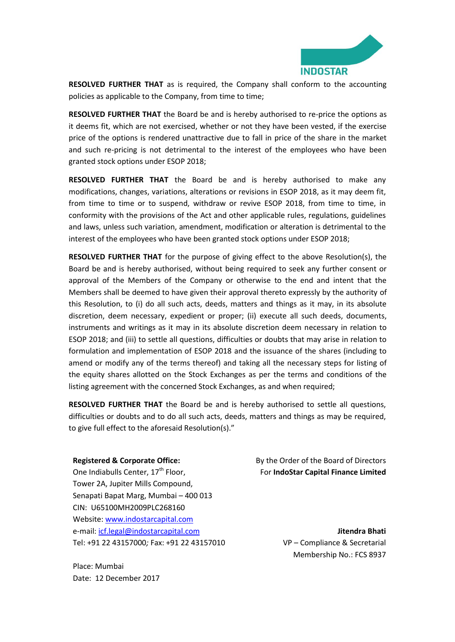

**RESOLVED FURTHER THAT** as is required, the Company shall conform to the accounting policies as applicable to the Company, from time to time;

**RESOLVED FURTHER THAT** the Board be and is hereby authorised to re-price the options as it deems fit, which are not exercised, whether or not they have been vested, if the exercise price of the options is rendered unattractive due to fall in price of the share in the market and such re-pricing is not detrimental to the interest of the employees who have been granted stock options under ESOP 2018;

**RESOLVED FURTHER THAT** the Board be and is hereby authorised to make any modifications, changes, variations, alterations or revisions in ESOP 2018, as it may deem fit, from time to time or to suspend, withdraw or revive ESOP 2018, from time to time, in conformity with the provisions of the Act and other applicable rules, regulations, guidelines and laws, unless such variation, amendment, modification or alteration is detrimental to the interest of the employees who have been granted stock options under ESOP 2018;

**RESOLVED FURTHER THAT** for the purpose of giving effect to the above Resolution(s), the Board be and is hereby authorised, without being required to seek any further consent or approval of the Members of the Company or otherwise to the end and intent that the Members shall be deemed to have given their approval thereto expressly by the authority of this Resolution, to (i) do all such acts, deeds, matters and things as it may, in its absolute discretion, deem necessary, expedient or proper; (ii) execute all such deeds, documents, instruments and writings as it may in its absolute discretion deem necessary in relation to ESOP 2018; and (iii) to settle all questions, difficulties or doubts that may arise in relation to formulation and implementation of ESOP 2018 and the issuance of the shares (including to amend or modify any of the terms thereof) and taking all the necessary steps for listing of the equity shares allotted on the Stock Exchanges as per the terms and conditions of the listing agreement with the concerned Stock Exchanges, as and when required;

**RESOLVED FURTHER THAT** the Board be and is hereby authorised to settle all questions, difficulties or doubts and to do all such acts, deeds, matters and things as may be required, to give full effect to the aforesaid Resolution(s)."

#### **Registered & Corporate Office:**

One Indiabulls Center, 17<sup>th</sup> Floor, Tower 2A, Jupiter Mills Compound, Senapati Bapat Marg, Mumbai – 400 013 CIN: U65100MH2009PLC268160 Website: [www.indostarcapital.com](http://www.indostarcapital.com/) e-mail: [icf.legal@indostarcapital.com](mailto:icf.legal@indostarcapital.com) Tel: +91 22 43157000*;* Fax: +91 22 43157010

Place: Mumbai Date: 12 December 2017 By the Order of the Board of Directors For **IndoStar Capital Finance Limited**

> **Jitendra Bhati** VP – Compliance & Secretarial Membership No.: FCS 8937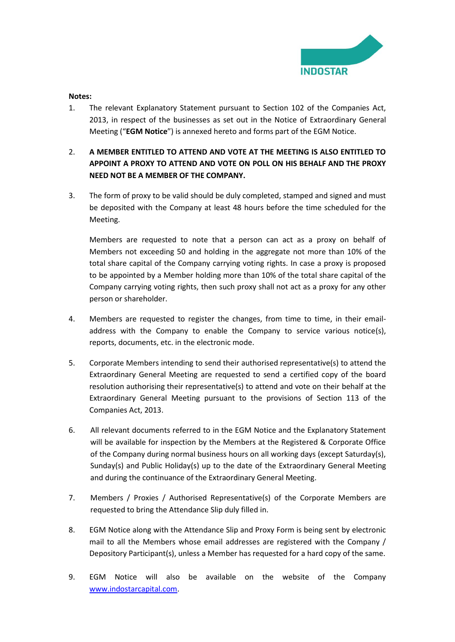

#### **Notes:**

- 1. The relevant Explanatory Statement pursuant to Section 102 of the Companies Act, 2013, in respect of the businesses as set out in the Notice of Extraordinary General Meeting ("**EGM Notice**") is annexed hereto and forms part of the EGM Notice.
- 2. **A MEMBER ENTITLED TO ATTEND AND VOTE AT THE MEETING IS ALSO ENTITLED TO APPOINT A PROXY TO ATTEND AND VOTE ON POLL ON HIS BEHALF AND THE PROXY NEED NOT BE A MEMBER OF THE COMPANY.**
- 3. The form of proxy to be valid should be duly completed, stamped and signed and must be deposited with the Company at least 48 hours before the time scheduled for the Meeting.

Members are requested to note that a person can act as a proxy on behalf of Members not exceeding 50 and holding in the aggregate not more than 10% of the total share capital of the Company carrying voting rights. In case a proxy is proposed to be appointed by a Member holding more than 10% of the total share capital of the Company carrying voting rights, then such proxy shall not act as a proxy for any other person or shareholder.

- 4. Members are requested to register the changes, from time to time, in their emailaddress with the Company to enable the Company to service various notice(s), reports, documents, etc. in the electronic mode.
- 5. Corporate Members intending to send their authorised representative(s) to attend the Extraordinary General Meeting are requested to send a certified copy of the board resolution authorising their representative(s) to attend and vote on their behalf at the Extraordinary General Meeting pursuant to the provisions of Section 113 of the Companies Act, 2013.
- 6. All relevant documents referred to in the EGM Notice and the Explanatory Statement will be available for inspection by the Members at the Registered & Corporate Office of the Company during normal business hours on all working days (except Saturday(s), Sunday(s) and Public Holiday(s) up to the date of the Extraordinary General Meeting and during the continuance of the Extraordinary General Meeting.
- 7. Members / Proxies / Authorised Representative(s) of the Corporate Members are requested to bring the Attendance Slip duly filled in.
- 8. EGM Notice along with the Attendance Slip and Proxy Form is being sent by electronic mail to all the Members whose email addresses are registered with the Company / Depository Participant(s), unless a Member has requested for a hard copy of the same.
- 9. EGM Notice will also be available on the website of the Company [www.indostarcapital.com.](http://www.indostarcapital.com/)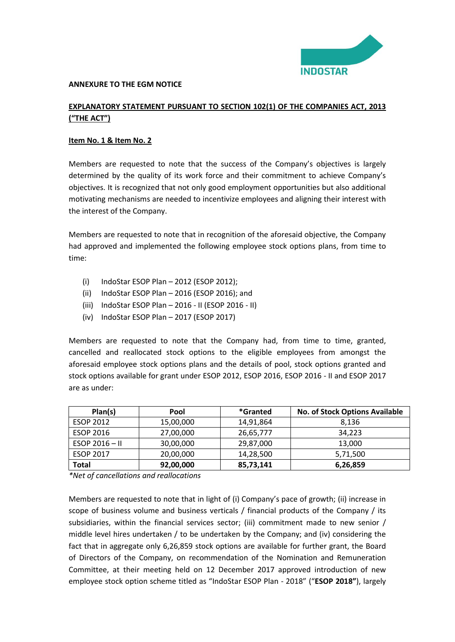

#### **ANNEXURE TO THE EGM NOTICE**

## **EXPLANATORY STATEMENT PURSUANT TO SECTION 102(1) OF THE COMPANIES ACT, 2013 ("THE ACT")**

### **Item No. 1 & Item No. 2**

Members are requested to note that the success of the Company's objectives is largely determined by the quality of its work force and their commitment to achieve Company's objectives. It is recognized that not only good employment opportunities but also additional motivating mechanisms are needed to incentivize employees and aligning their interest with the interest of the Company.

Members are requested to note that in recognition of the aforesaid objective, the Company had approved and implemented the following employee stock options plans, from time to time:

- (i) IndoStar ESOP Plan 2012 (ESOP 2012);
- (ii) IndoStar ESOP Plan 2016 (ESOP 2016); and
- (iii) IndoStar ESOP Plan 2016 II (ESOP 2016 II)
- (iv) IndoStar ESOP Plan 2017 (ESOP 2017)

Members are requested to note that the Company had, from time to time, granted, cancelled and reallocated stock options to the eligible employees from amongst the aforesaid employee stock options plans and the details of pool, stock options granted and stock options available for grant under ESOP 2012, ESOP 2016, ESOP 2016 - II and ESOP 2017 are as under:

| Plan(s)          | Pool      | *Granted  | <b>No. of Stock Options Available</b> |
|------------------|-----------|-----------|---------------------------------------|
| <b>ESOP 2012</b> | 15,00,000 | 14,91,864 | 8,136                                 |
| <b>ESOP 2016</b> | 27,00,000 | 26,65,777 | 34,223                                |
| ESOP $2016 - H$  | 30,00,000 | 29,87,000 | 13,000                                |
| <b>ESOP 2017</b> | 20,00,000 | 14,28,500 | 5,71,500                              |
| Total            | 92,00,000 | 85,73,141 | 6,26,859                              |

*\*Net of cancellations and reallocations* 

Members are requested to note that in light of (i) Company's pace of growth; (ii) increase in scope of business volume and business verticals / financial products of the Company / its subsidiaries, within the financial services sector; (iii) commitment made to new senior / middle level hires undertaken / to be undertaken by the Company; and (iv) considering the fact that in aggregate only 6,26,859 stock options are available for further grant, the Board of Directors of the Company, on recommendation of the Nomination and Remuneration Committee, at their meeting held on 12 December 2017 approved introduction of new employee stock option scheme titled as "IndoStar ESOP Plan - 2018" ("**ESOP 2018"**), largely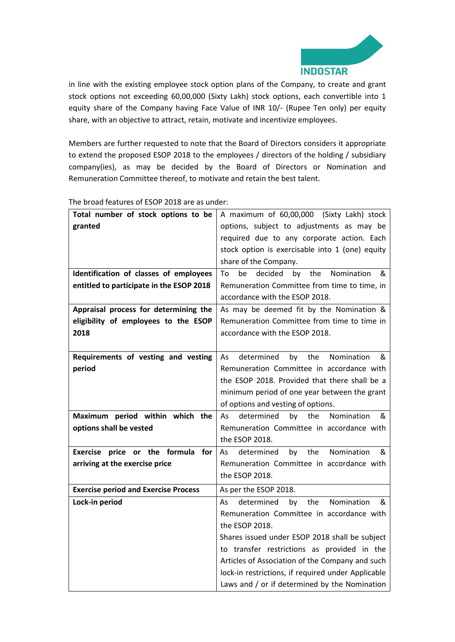

in line with the existing employee stock option plans of the Company, to create and grant stock options not exceeding 60,00,000 (Sixty Lakh) stock options, each convertible into 1 equity share of the Company having Face Value of INR 10/- (Rupee Ten only) per equity share, with an objective to attract, retain, motivate and incentivize employees.

Members are further requested to note that the Board of Directors considers it appropriate to extend the proposed ESOP 2018 to the employees / directors of the holding / subsidiary company(ies), as may be decided by the Board of Directors or Nomination and Remuneration Committee thereof, to motivate and retain the best talent.

| Total number of stock options to be         | A maximum of 60,00,000 (Sixty Lakh) stock           |  |  |
|---------------------------------------------|-----------------------------------------------------|--|--|
| granted                                     | options, subject to adjustments as may be           |  |  |
|                                             | required due to any corporate action. Each          |  |  |
|                                             | stock option is exercisable into 1 (one) equity     |  |  |
|                                             | share of the Company.                               |  |  |
| Identification of classes of employees      | be<br>decided<br>the<br>Nomination<br>To<br>by<br>& |  |  |
| entitled to participate in the ESOP 2018    | Remuneration Committee from time to time, in        |  |  |
|                                             | accordance with the ESOP 2018.                      |  |  |
| Appraisal process for determining the       | As may be deemed fit by the Nomination &            |  |  |
| eligibility of employees to the ESOP        | Remuneration Committee from time to time in         |  |  |
| 2018                                        | accordance with the ESOP 2018.                      |  |  |
|                                             |                                                     |  |  |
| Requirements of vesting and vesting         | Nomination<br>As<br>determined<br>by<br>the<br>&    |  |  |
| period                                      | Remuneration Committee in accordance with           |  |  |
|                                             | the ESOP 2018. Provided that there shall be a       |  |  |
|                                             | minimum period of one year between the grant        |  |  |
|                                             | of options and vesting of options.                  |  |  |
| Maximum period within which the             | the<br>Nomination<br>determined<br>by<br>&<br>As    |  |  |
| options shall be vested                     | Remuneration Committee in accordance with           |  |  |
|                                             | the ESOP 2018.                                      |  |  |
| Exercise price or the formula for           | the<br>Nomination<br>by<br>&<br>As<br>determined    |  |  |
| arriving at the exercise price              | Remuneration Committee in accordance with           |  |  |
|                                             | the ESOP 2018.                                      |  |  |
| <b>Exercise period and Exercise Process</b> | As per the ESOP 2018.                               |  |  |
| Lock-in period                              | the<br>Nomination<br>determined<br>by<br>&<br>As    |  |  |
|                                             | Remuneration Committee in accordance with           |  |  |
|                                             | the ESOP 2018.                                      |  |  |
|                                             | Shares issued under ESOP 2018 shall be subject      |  |  |
|                                             | to transfer restrictions as provided in the         |  |  |
|                                             | Articles of Association of the Company and such     |  |  |
|                                             | lock-in restrictions, if required under Applicable  |  |  |
|                                             | Laws and / or if determined by the Nomination       |  |  |

The broad features of ESOP 2018 are as under: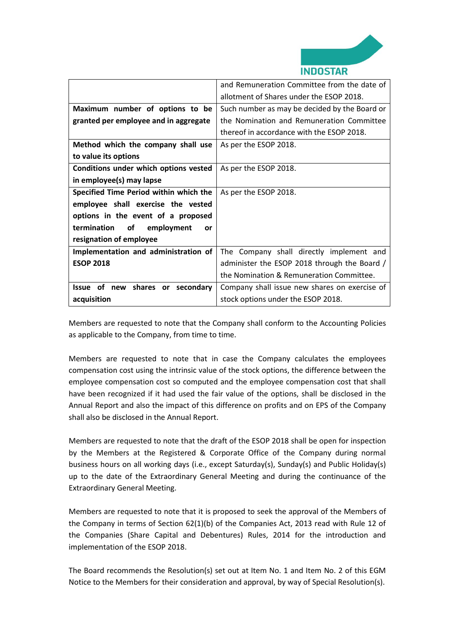

|                                        | and Remuneration Committee from the date of   |  |
|----------------------------------------|-----------------------------------------------|--|
|                                        | allotment of Shares under the ESOP 2018.      |  |
| Maximum number of options to be        | Such number as may be decided by the Board or |  |
| granted per employee and in aggregate  | the Nomination and Remuneration Committee     |  |
|                                        | thereof in accordance with the ESOP 2018.     |  |
| Method which the company shall use     | As per the ESOP 2018.                         |  |
| to value its options                   |                                               |  |
| Conditions under which options vested  | As per the ESOP 2018.                         |  |
| in employee(s) may lapse               |                                               |  |
| Specified Time Period within which the | As per the ESOP 2018.                         |  |
| employee shall exercise the vested     |                                               |  |
| options in the event of a proposed     |                                               |  |
| termination<br>of<br>employment<br>or  |                                               |  |
| resignation of employee                |                                               |  |
| Implementation and administration of   | The Company shall directly implement and      |  |
| <b>ESOP 2018</b>                       | administer the ESOP 2018 through the Board /  |  |
|                                        | the Nomination & Remuneration Committee.      |  |
| Issue of new shares or secondary       | Company shall issue new shares on exercise of |  |
| acquisition                            | stock options under the ESOP 2018.            |  |

Members are requested to note that the Company shall conform to the Accounting Policies as applicable to the Company, from time to time.

Members are requested to note that in case the Company calculates the employees compensation cost using the intrinsic value of the stock options, the difference between the employee compensation cost so computed and the employee compensation cost that shall have been recognized if it had used the fair value of the options, shall be disclosed in the Annual Report and also the impact of this difference on profits and on EPS of the Company shall also be disclosed in the Annual Report.

Members are requested to note that the draft of the ESOP 2018 shall be open for inspection by the Members at the Registered & Corporate Office of the Company during normal business hours on all working days (i.e., except Saturday(s), Sunday(s) and Public Holiday(s) up to the date of the Extraordinary General Meeting and during the continuance of the Extraordinary General Meeting.

Members are requested to note that it is proposed to seek the approval of the Members of the Company in terms of Section 62(1)(b) of the Companies Act, 2013 read with Rule 12 of the Companies (Share Capital and Debentures) Rules, 2014 for the introduction and implementation of the ESOP 2018.

The Board recommends the Resolution(s) set out at Item No. 1 and Item No. 2 of this EGM Notice to the Members for their consideration and approval, by way of Special Resolution(s).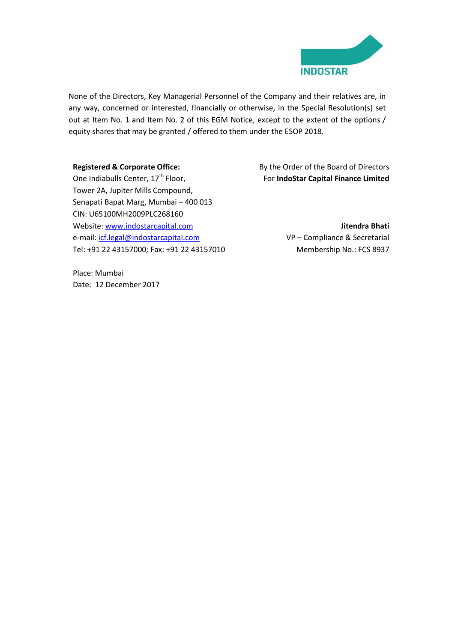

None of the Directors, Key Managerial Personnel of the Company and their relatives are, in any way, concerned or interested, financially or otherwise, in the Special Resolution(s) set out at Item No. 1 and Item No. 2 of this EGM Notice, except to the extent of the options / equity shares that may be granted / offered to them under the ESOP 2018.

#### **Registered & Corporate Office:**

One Indiabulls Center, 17<sup>th</sup> Floor, Tower 2A, Jupiter Mills Compound, Senapati Bapat Marg, Mumbai – 400 013 CIN: U65100MH2009PLC268160 Website: [www.indostarcapital.com](http://www.indostarcapital.com/) e-mail: [icf.legal@indostarcapital.com](mailto:icf.legal@indostarcapital.com) Tel: +91 22 43157000*;* Fax: +91 22 43157010

Place: Mumbai Date: 12 December 2017 By the Order of the Board of Directors For **IndoStar Capital Finance Limited**

> **Jitendra Bhati** VP – Compliance & Secretarial Membership No.: FCS 8937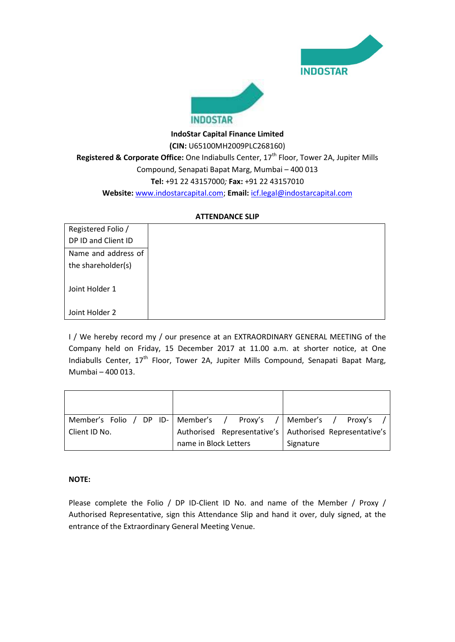



# **IndoStar Capital Finance Limited (CIN:** U65100MH2009PLC268160) Registered & Corporate Office: One Indiabulls Center, 17<sup>th</sup> Floor, Tower 2A, Jupiter Mills Compound, Senapati Bapat Marg, Mumbai – 400 013 **Tel:** +91 22 43157000*;* **Fax:** +91 22 43157010 **Website:** [www.indostarcapital.com;](http://www.indostarcapital.com/) **Email:** [icf.legal@indostarcapital.com](mailto:icf.legal@indostarcapital.com)

#### **ATTENDANCE SLIP**

| Registered Folio /  |
|---------------------|
| DP ID and Client ID |
| Name and address of |
| the shareholder(s)  |
|                     |
| Joint Holder 1      |
| Joint Holder 2      |

I / We hereby record my / our presence at an EXTRAORDINARY GENERAL MEETING of the Company held on Friday, 15 December 2017 at 11.00 a.m. at shorter notice, at One Indiabulls Center, 17<sup>th</sup> Floor, Tower 2A, Jupiter Mills Compound, Senapati Bapat Marg, Mumbai – 400 013.

|               | Member's Folio / DP ID-   Member's  /  Proxy's  /  Member's  /  Proxy's |           |
|---------------|-------------------------------------------------------------------------|-----------|
| Client ID No. | Authorised Representative's   Authorised Representative's               |           |
|               | name in Block Letters                                                   | Signature |

#### **NOTE:**

Please complete the Folio / DP ID-Client ID No. and name of the Member / Proxy / Authorised Representative, sign this Attendance Slip and hand it over, duly signed, at the entrance of the Extraordinary General Meeting Venue.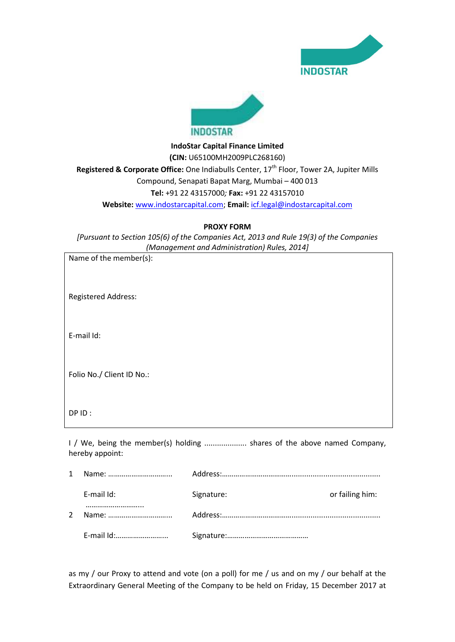



**IndoStar Capital Finance Limited (CIN:** U65100MH2009PLC268160) Registered & Corporate Office: One Indiabulls Center, 17<sup>th</sup> Floor, Tower 2A, Jupiter Mills Compound, Senapati Bapat Marg, Mumbai – 400 013 **Tel:** +91 22 43157000*;* **Fax:** +91 22 43157010 **Website:** [www.indostarcapital.com;](http://www.indostarcapital.com/) **Email:** [icf.legal@indostarcapital.com](mailto:icf.legal@indostarcapital.com)

**PROXY FORM**

*[Pursuant to Section 105(6) of the Companies Act, 2013 and Rule 19(3) of the Companies (Management and Administration) Rules, 2014]*

|              | Name of the member(s):     |                                                                         |                 |
|--------------|----------------------------|-------------------------------------------------------------------------|-----------------|
|              | <b>Registered Address:</b> |                                                                         |                 |
|              | E-mail Id:                 |                                                                         |                 |
|              | Folio No./ Client ID No.:  |                                                                         |                 |
|              | DP ID:                     |                                                                         |                 |
|              | hereby appoint:            | I / We, being the member(s) holding  shares of the above named Company, |                 |
| $\mathbf{1}$ |                            |                                                                         |                 |
|              | E-mail Id:                 | Signature:                                                              | or failing him: |
| 2            | Name:                      |                                                                         |                 |

E-mail Id:……………………... Signature:……………………………………

as my / our Proxy to attend and vote (on a poll) for me / us and on my / our behalf at the Extraordinary General Meeting of the Company to be held on Friday, 15 December 2017 at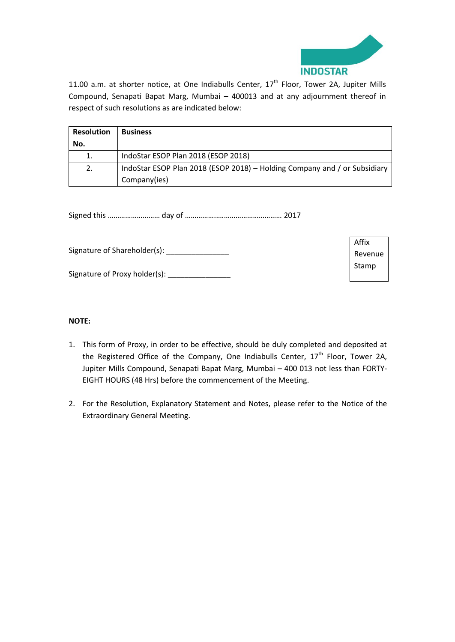

11.00 a.m. at shorter notice, at One Indiabulls Center, 17<sup>th</sup> Floor, Tower 2A, Jupiter Mills Compound, Senapati Bapat Marg, Mumbai – 400013 and at any adjournment thereof in respect of such resolutions as are indicated below:

| <b>Resolution</b> | <b>Business</b>                                                           |
|-------------------|---------------------------------------------------------------------------|
| No.               |                                                                           |
| 1.                | IndoStar ESOP Plan 2018 (ESOP 2018)                                       |
| 2.                | IndoStar ESOP Plan 2018 (ESOP 2018) - Holding Company and / or Subsidiary |
|                   | Company(ies)                                                              |

Signed this ……………………… day of ……………..…………………………… 2017

|                               | Affix   |
|-------------------------------|---------|
| Signature of Shareholder(s):  | Revenue |
|                               | Stamp   |
| Signature of Proxy holder(s): |         |

## **NOTE:**

- 1. This form of Proxy, in order to be effective, should be duly completed and deposited at the Registered Office of the Company, One Indiabulls Center, 17<sup>th</sup> Floor, Tower 2A, Jupiter Mills Compound, Senapati Bapat Marg, Mumbai – 400 013 not less than FORTY-EIGHT HOURS (48 Hrs) before the commencement of the Meeting.
- 2. For the Resolution, Explanatory Statement and Notes, please refer to the Notice of the Extraordinary General Meeting.